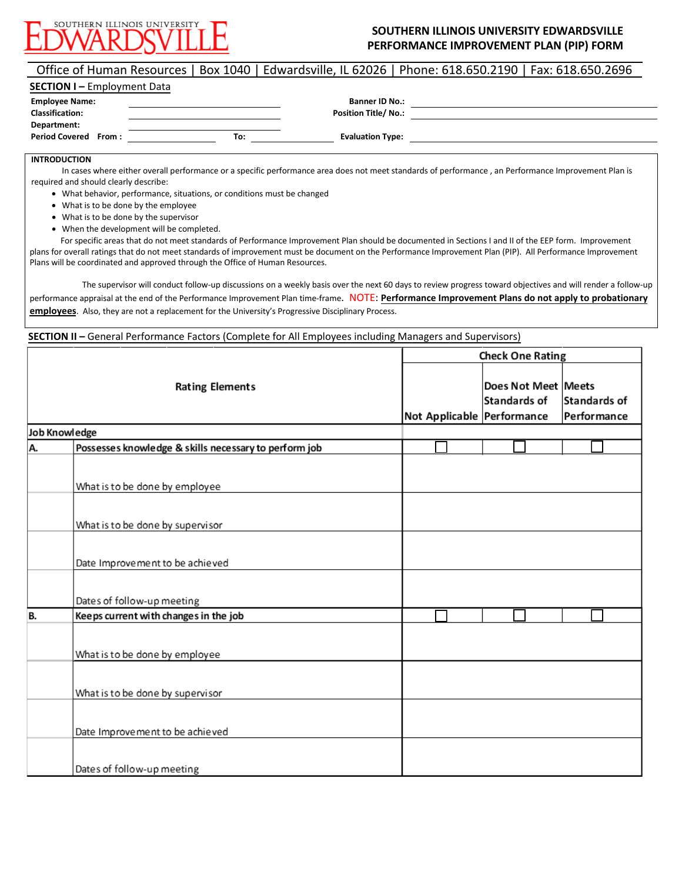

## **SOUTHERN ILLINOIS UNIVERSITY EDWARDSVILLE PERFORMANCE IMPROVEMENT PLAN (PIP) FORM**

## Office of Human Resources | Box 1040 | Edwardsville, IL 62026 | Phone: 618.650.2190 | Fax: 618.650.2696

| <b>SECTION I - Employment Data</b> |  |     |                             |  |  |  |
|------------------------------------|--|-----|-----------------------------|--|--|--|
| <b>Employee Name:</b>              |  |     | <b>Banner ID No.:</b>       |  |  |  |
| <b>Classification:</b>             |  |     | <b>Position Title/ No.:</b> |  |  |  |
| Department:                        |  |     |                             |  |  |  |
| <b>Period Covered From:</b>        |  | To: | <b>Evaluation Type:</b>     |  |  |  |

## **INTRODUCTION**

In cases where either overall performance or a specific performance area does not meet standards of performance , an Performance Improvement Plan is required and should clearly describe:

- What behavior, performance, situations, or conditions must be changed
- What is to be done by the employee
- What is to be done by the supervisor
- When the development will be completed.

For specific areas that do not meet standards of Performance Improvement Plan should be documented in Sections I and II of the EEP form. Improvement plans for overall ratings that do not meet standards of improvement must be document on the Performance Improvement Plan (PIP). All Performance Improvement Plans will be coordinated and approved through the Office of Human Resources.

The supervisor will conduct follow-up discussions on a weekly basis over the next 60 days to review progress toward objectives and will render a follow-up performance appraisal at the end of the Performance Improvement Plan time-frame. NOTE: **Performance Improvement Plans do not apply to probationary employees**. Also, they are not a replacement for the University's Progressive Disciplinary Process.

**SECTION II –** General Performance Factors (Complete for All Employees including Managers and Supervisors)

|               |                                                       | <b>Check One Rating</b>    |                                     |                             |
|---------------|-------------------------------------------------------|----------------------------|-------------------------------------|-----------------------------|
|               | <b>Rating Elements</b>                                | Not Applicable Performance | Does Not Meet Meets<br>Standards of | Standards of<br>Performance |
| Job Knowledge |                                                       |                            |                                     |                             |
| Α.            | Possesses knowledge & skills necessary to perform job |                            |                                     |                             |
|               |                                                       |                            |                                     |                             |
|               | What is to be done by employee                        |                            |                                     |                             |
|               |                                                       |                            |                                     |                             |
|               | What is to be done by supervisor                      |                            |                                     |                             |
|               | Date Improvement to be achieved                       |                            |                                     |                             |
|               | Dates of follow-up meeting                            |                            |                                     |                             |
| В.            | Keeps current with changes in the job                 |                            |                                     |                             |
|               | What is to be done by employee                        |                            |                                     |                             |
|               | What is to be done by supervisor                      |                            |                                     |                             |
|               | Date Improvement to be achieved                       |                            |                                     |                             |
|               | Dates of follow-up meeting                            |                            |                                     |                             |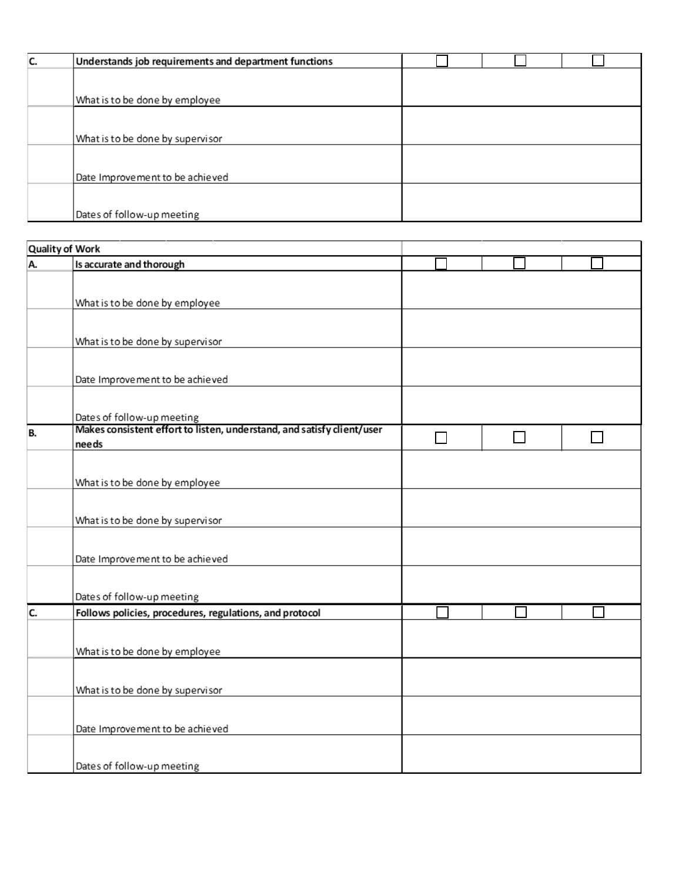| C. | Understands job requirements and department functions |  |  |
|----|-------------------------------------------------------|--|--|
|    |                                                       |  |  |
|    | What is to be done by employee                        |  |  |
|    |                                                       |  |  |
|    | What is to be done by supervisor                      |  |  |
|    |                                                       |  |  |
|    | Date Improvement to be achieved                       |  |  |
|    |                                                       |  |  |
|    | Dates of follow-up meeting                            |  |  |

|           | <b>Quality of Work</b>                                                 |  |  |
|-----------|------------------------------------------------------------------------|--|--|
| A.        | Is accurate and thorough                                               |  |  |
|           |                                                                        |  |  |
|           | What is to be done by employee                                         |  |  |
|           |                                                                        |  |  |
|           |                                                                        |  |  |
|           | What is to be done by supervisor                                       |  |  |
|           |                                                                        |  |  |
|           |                                                                        |  |  |
|           | Date Improvement to be achieved                                        |  |  |
|           |                                                                        |  |  |
|           | Dates of follow-up meeting                                             |  |  |
| <b>B.</b> | Makes consistent effort to listen, understand, and satisfy client/user |  |  |
|           | needs                                                                  |  |  |
|           |                                                                        |  |  |
|           | What is to be done by employee                                         |  |  |
|           |                                                                        |  |  |
|           |                                                                        |  |  |
|           | What is to be done by supervisor                                       |  |  |
|           |                                                                        |  |  |
|           | Date Improvement to be achieved                                        |  |  |
|           |                                                                        |  |  |
|           |                                                                        |  |  |
|           | Dates of follow-up meeting                                             |  |  |
| c.        | Follows policies, procedures, regulations, and protocol                |  |  |
|           |                                                                        |  |  |
|           | What is to be done by employee                                         |  |  |
|           |                                                                        |  |  |
|           |                                                                        |  |  |
|           | What is to be done by supervisor                                       |  |  |
|           |                                                                        |  |  |
|           | Date Improvement to be achieved                                        |  |  |
|           |                                                                        |  |  |
|           |                                                                        |  |  |
|           | Dates of follow-up meeting                                             |  |  |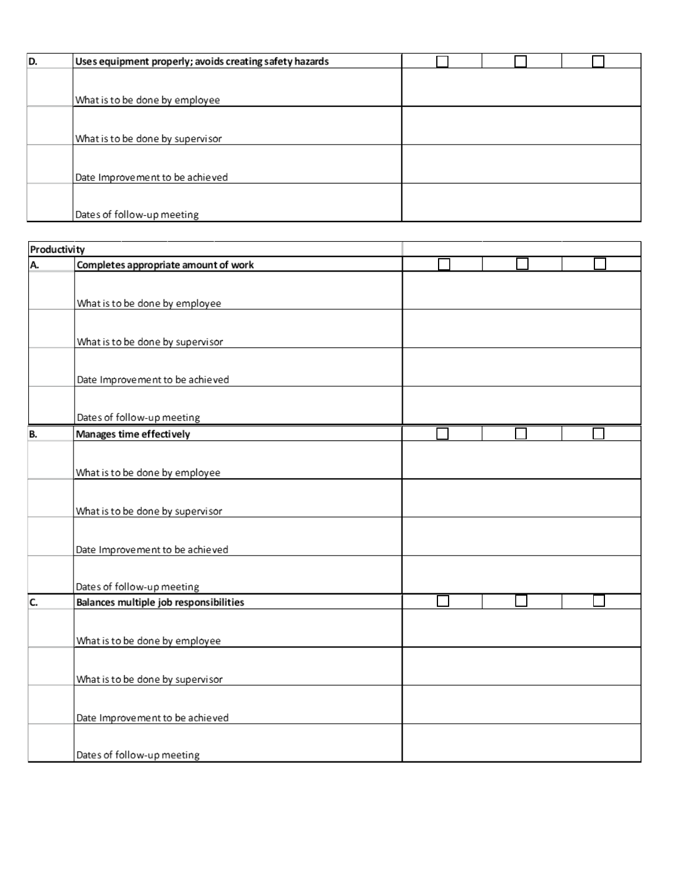| D. | Uses equipment properly; avoids creating safety hazards |  |  |
|----|---------------------------------------------------------|--|--|
|    |                                                         |  |  |
|    | What is to be done by employee                          |  |  |
|    |                                                         |  |  |
|    | What is to be done by supervisor                        |  |  |
|    |                                                         |  |  |
|    | Date Improvement to be achieved                         |  |  |
|    |                                                         |  |  |
|    | Dates of follow-up meeting                              |  |  |

| Productivity |                                        |  |  |
|--------------|----------------------------------------|--|--|
| Α.           | Completes appropriate amount of work   |  |  |
|              |                                        |  |  |
|              | What is to be done by employee         |  |  |
|              |                                        |  |  |
|              |                                        |  |  |
|              | What is to be done by supervisor       |  |  |
|              |                                        |  |  |
|              | Date Improvement to be achieved        |  |  |
|              |                                        |  |  |
|              |                                        |  |  |
|              | Dates of follow-up meeting             |  |  |
| B.           | Manages time effectively               |  |  |
|              |                                        |  |  |
|              | What is to be done by employee         |  |  |
|              |                                        |  |  |
|              | What is to be done by supervisor       |  |  |
|              |                                        |  |  |
|              |                                        |  |  |
|              | Date Improvement to be achieved        |  |  |
|              |                                        |  |  |
|              | Dates of follow-up meeting             |  |  |
| C.           | Balances multiple job responsibilities |  |  |
|              |                                        |  |  |
|              |                                        |  |  |
|              | What is to be done by employee         |  |  |
|              |                                        |  |  |
|              | What is to be done by supervisor       |  |  |
|              |                                        |  |  |
|              | Date Improvement to be achieved        |  |  |
|              |                                        |  |  |
|              |                                        |  |  |
|              | Dates of follow-up meeting             |  |  |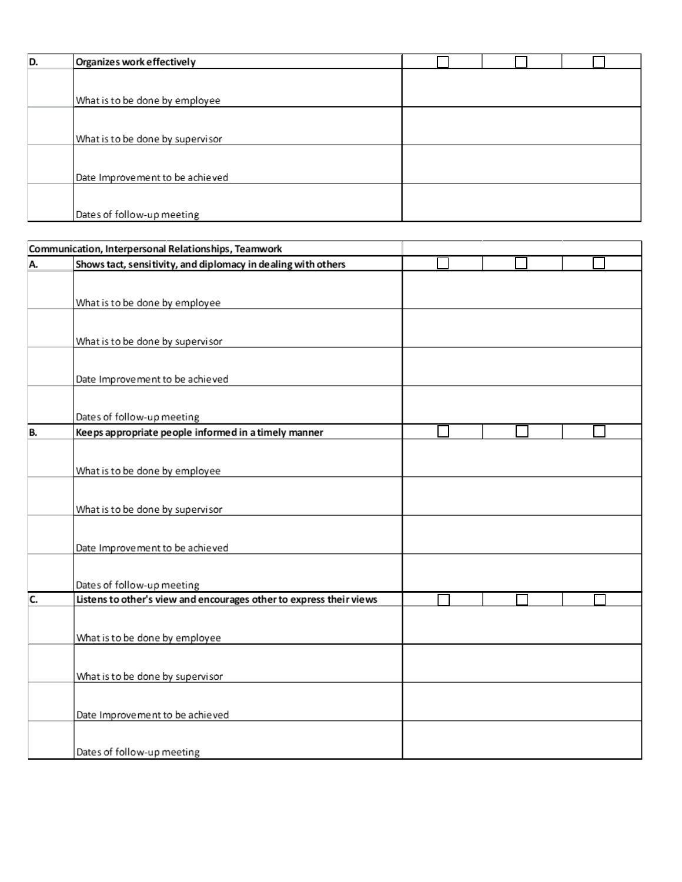| D. | Organizes work effectively       |  |  |
|----|----------------------------------|--|--|
|    |                                  |  |  |
|    | What is to be done by employee   |  |  |
|    |                                  |  |  |
|    | What is to be done by supervisor |  |  |
|    |                                  |  |  |
|    | Date Improvement to be achieved  |  |  |
|    |                                  |  |  |
|    | Dates of follow-up meeting       |  |  |

|    | Communication, Interpersonal Relationships, Teamwork                |  |  |  |
|----|---------------------------------------------------------------------|--|--|--|
| А. | Shows tact, sensitivity, and diplomacy in dealing with others       |  |  |  |
|    |                                                                     |  |  |  |
|    |                                                                     |  |  |  |
|    | What is to be done by employee                                      |  |  |  |
|    |                                                                     |  |  |  |
|    | What is to be done by supervisor                                    |  |  |  |
|    |                                                                     |  |  |  |
|    |                                                                     |  |  |  |
|    | Date Improvement to be achieved                                     |  |  |  |
|    |                                                                     |  |  |  |
|    | Dates of follow-up meeting                                          |  |  |  |
| B. | Keeps appropriate people informed in a timely manner                |  |  |  |
|    |                                                                     |  |  |  |
|    | What is to be done by employee                                      |  |  |  |
|    |                                                                     |  |  |  |
|    |                                                                     |  |  |  |
|    | What is to be done by supervisor                                    |  |  |  |
|    |                                                                     |  |  |  |
|    |                                                                     |  |  |  |
|    | Date Improvement to be achieved                                     |  |  |  |
|    |                                                                     |  |  |  |
|    | Dates of follow-up meeting                                          |  |  |  |
| C. | Listens to other's view and encourages other to express their views |  |  |  |
|    |                                                                     |  |  |  |
|    | What is to be done by employee                                      |  |  |  |
|    |                                                                     |  |  |  |
|    |                                                                     |  |  |  |
|    | What is to be done by supervisor                                    |  |  |  |
|    |                                                                     |  |  |  |
|    | Date Improvement to be achieved                                     |  |  |  |
|    |                                                                     |  |  |  |
|    |                                                                     |  |  |  |
|    | Dates of follow-up meeting                                          |  |  |  |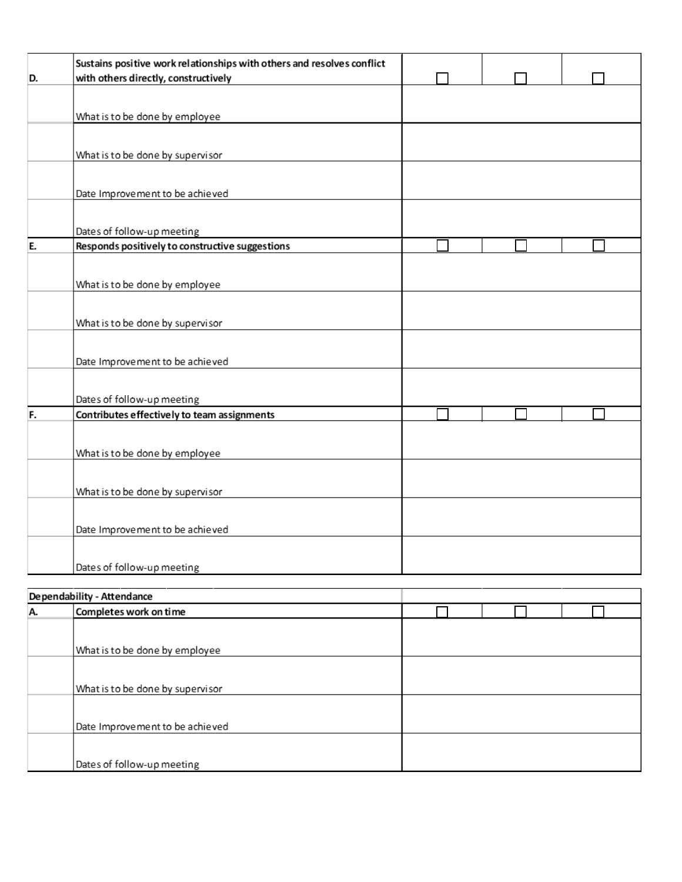| D. | Sustains positive work relationships with others and resolves conflict<br>with others directly, constructively |  |  |  |
|----|----------------------------------------------------------------------------------------------------------------|--|--|--|
|    |                                                                                                                |  |  |  |
|    |                                                                                                                |  |  |  |
|    | What is to be done by employee                                                                                 |  |  |  |
|    |                                                                                                                |  |  |  |
|    | What is to be done by supervisor                                                                               |  |  |  |
|    |                                                                                                                |  |  |  |
|    |                                                                                                                |  |  |  |
|    | Date Improvement to be achieved                                                                                |  |  |  |
|    |                                                                                                                |  |  |  |
|    | Dates of follow-up meeting                                                                                     |  |  |  |
| E. | Responds positively to constructive suggestions                                                                |  |  |  |
|    |                                                                                                                |  |  |  |
|    | What is to be done by employee                                                                                 |  |  |  |
|    |                                                                                                                |  |  |  |
|    |                                                                                                                |  |  |  |
|    | What is to be done by supervisor                                                                               |  |  |  |
|    |                                                                                                                |  |  |  |
|    | Date Improvement to be achieved                                                                                |  |  |  |
|    |                                                                                                                |  |  |  |
|    |                                                                                                                |  |  |  |
|    | Dates of follow-up meeting                                                                                     |  |  |  |
| F. | Contributes effectively to team assignments                                                                    |  |  |  |
|    |                                                                                                                |  |  |  |
|    | What is to be done by employee                                                                                 |  |  |  |
|    |                                                                                                                |  |  |  |
|    |                                                                                                                |  |  |  |
|    | What is to be done by supervisor                                                                               |  |  |  |
|    |                                                                                                                |  |  |  |
|    | Date Improvement to be achieved                                                                                |  |  |  |
|    |                                                                                                                |  |  |  |
|    |                                                                                                                |  |  |  |
|    | Dates of follow-up meeting                                                                                     |  |  |  |

|    | Dependability - Attendance       |  |  |
|----|----------------------------------|--|--|
| A. | Completes work on time           |  |  |
|    |                                  |  |  |
|    | What is to be done by employee   |  |  |
|    |                                  |  |  |
|    | What is to be done by supervisor |  |  |
|    |                                  |  |  |
|    | Date Improvement to be achieved  |  |  |
|    |                                  |  |  |
|    | Dates of follow-up meeting       |  |  |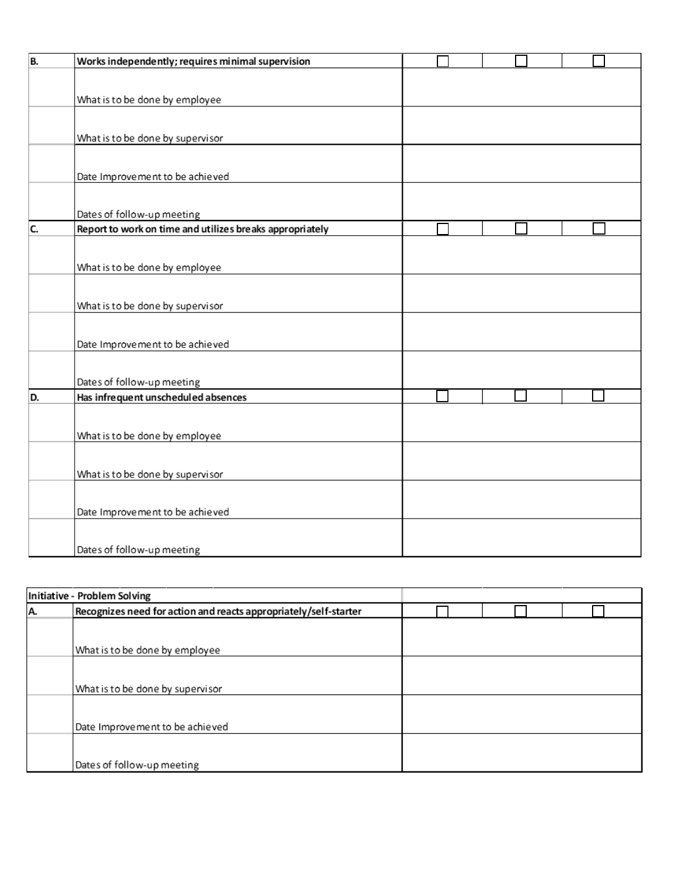| B. | Works independently; requires minimal supervision        |  |  |
|----|----------------------------------------------------------|--|--|
|    |                                                          |  |  |
|    | What is to be done by employee                           |  |  |
|    |                                                          |  |  |
|    |                                                          |  |  |
|    | What is to be done by supervisor                         |  |  |
|    |                                                          |  |  |
|    | Date Improvement to be achieved                          |  |  |
|    |                                                          |  |  |
|    | Dates of follow-up meeting                               |  |  |
| C. | Report to work on time and utilizes breaks appropriately |  |  |
|    |                                                          |  |  |
|    |                                                          |  |  |
|    | What is to be done by employee                           |  |  |
|    |                                                          |  |  |
|    | What is to be done by supervisor                         |  |  |
|    |                                                          |  |  |
|    | Date Improvement to be achieved                          |  |  |
|    |                                                          |  |  |
|    |                                                          |  |  |
|    | Dates of follow-up meeting                               |  |  |
| D. | Has infrequent unscheduled absences                      |  |  |
|    |                                                          |  |  |
|    | What is to be done by employee                           |  |  |
|    |                                                          |  |  |
|    | What is to be done by supervisor                         |  |  |
|    |                                                          |  |  |
|    |                                                          |  |  |
|    | Date Improvement to be achieved                          |  |  |
|    |                                                          |  |  |
|    | Dates of follow-up meeting                               |  |  |

|    | Initiative - Problem Solving                                     |  |  |
|----|------------------------------------------------------------------|--|--|
| A. | Recognizes need for action and reacts appropriately/self-starter |  |  |
|    |                                                                  |  |  |
|    | What is to be done by employee                                   |  |  |
|    |                                                                  |  |  |
|    | What is to be done by supervisor                                 |  |  |
|    |                                                                  |  |  |
|    | Date Improvement to be achieved                                  |  |  |
|    |                                                                  |  |  |
|    | Dates of follow-up meeting                                       |  |  |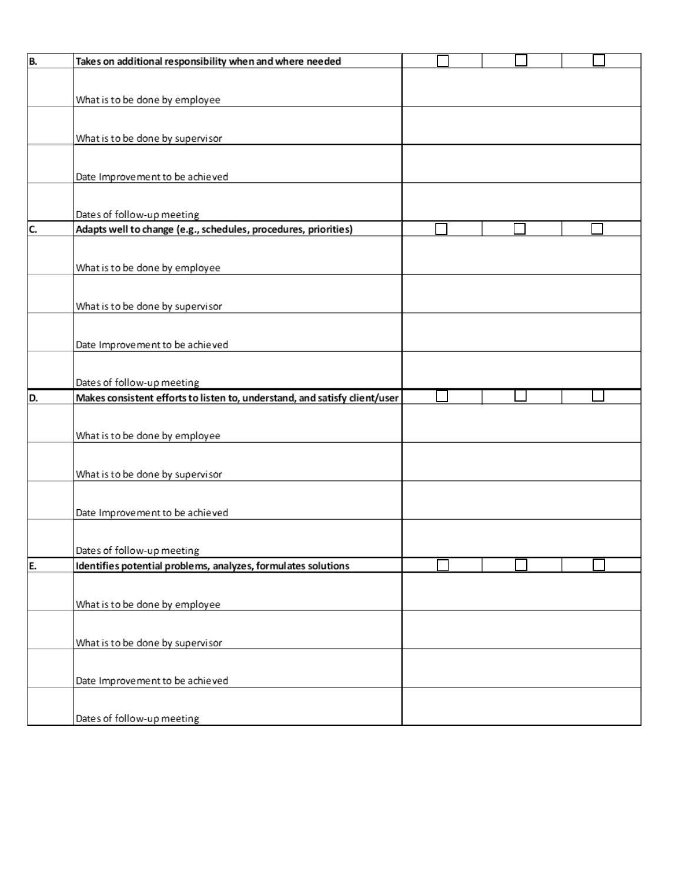| B. | Takes on additional responsibility when and where needed                   |  |  |  |
|----|----------------------------------------------------------------------------|--|--|--|
|    |                                                                            |  |  |  |
|    | What is to be done by employee                                             |  |  |  |
|    |                                                                            |  |  |  |
|    |                                                                            |  |  |  |
|    | What is to be done by supervisor                                           |  |  |  |
|    |                                                                            |  |  |  |
|    | Date Improvement to be achieved                                            |  |  |  |
|    |                                                                            |  |  |  |
|    | Dates of follow-up meeting                                                 |  |  |  |
| C. | Adapts well to change (e.g., schedules, procedures, priorities)            |  |  |  |
|    |                                                                            |  |  |  |
|    | What is to be done by employee                                             |  |  |  |
|    |                                                                            |  |  |  |
|    |                                                                            |  |  |  |
|    | What is to be done by supervisor                                           |  |  |  |
|    |                                                                            |  |  |  |
|    | Date Improvement to be achieved                                            |  |  |  |
|    |                                                                            |  |  |  |
|    | Dates of follow-up meeting                                                 |  |  |  |
| D. | Makes consistent efforts to listen to, understand, and satisfy client/user |  |  |  |
|    |                                                                            |  |  |  |
|    |                                                                            |  |  |  |
|    | What is to be done by employee                                             |  |  |  |
|    |                                                                            |  |  |  |
|    |                                                                            |  |  |  |
|    | What is to be done by supervisor                                           |  |  |  |
|    |                                                                            |  |  |  |
|    |                                                                            |  |  |  |
|    | Date Improvement to be achieved                                            |  |  |  |
|    |                                                                            |  |  |  |
|    | Dates of follow-up meeting                                                 |  |  |  |
| E. | Identifies potential problems, analyzes, formulates solutions              |  |  |  |
|    |                                                                            |  |  |  |
|    | What is to be done by employee                                             |  |  |  |
|    |                                                                            |  |  |  |
|    | What is to be done by supervisor                                           |  |  |  |
|    |                                                                            |  |  |  |
|    |                                                                            |  |  |  |
|    | Date Improvement to be achieved                                            |  |  |  |
|    | Dates of follow-up meeting                                                 |  |  |  |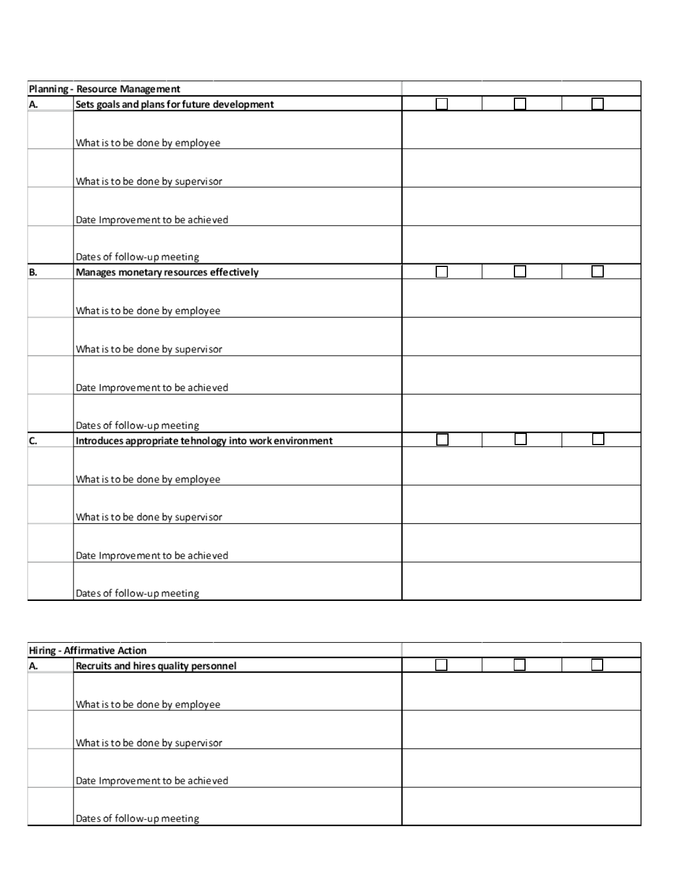|    | Planning - Resource Management                         |  |  |  |
|----|--------------------------------------------------------|--|--|--|
| A. | Sets goals and plans for future development            |  |  |  |
|    |                                                        |  |  |  |
|    |                                                        |  |  |  |
|    | What is to be done by employee                         |  |  |  |
|    |                                                        |  |  |  |
|    | What is to be done by supervisor                       |  |  |  |
|    |                                                        |  |  |  |
|    |                                                        |  |  |  |
|    | Date Improvement to be achieved                        |  |  |  |
|    |                                                        |  |  |  |
|    | Dates of follow-up meeting                             |  |  |  |
| B. | Manages monetary resources effectively                 |  |  |  |
|    |                                                        |  |  |  |
|    |                                                        |  |  |  |
|    | What is to be done by employee                         |  |  |  |
|    |                                                        |  |  |  |
|    | What is to be done by supervisor                       |  |  |  |
|    |                                                        |  |  |  |
|    |                                                        |  |  |  |
|    | Date Improvement to be achieved                        |  |  |  |
|    |                                                        |  |  |  |
|    | Dates of follow-up meeting                             |  |  |  |
| C. | Introduces appropriate tehnology into work environment |  |  |  |
|    |                                                        |  |  |  |
|    |                                                        |  |  |  |
|    | What is to be done by employee                         |  |  |  |
|    |                                                        |  |  |  |
|    | What is to be done by supervisor                       |  |  |  |
|    |                                                        |  |  |  |
|    |                                                        |  |  |  |
|    | Date Improvement to be achieved                        |  |  |  |
|    |                                                        |  |  |  |
|    | Dates of follow-up meeting                             |  |  |  |
|    |                                                        |  |  |  |

|    | <b>Hiring - Affirmative Action</b>   |  |  |
|----|--------------------------------------|--|--|
| A. | Recruits and hires quality personnel |  |  |
|    |                                      |  |  |
|    |                                      |  |  |
|    | What is to be done by employee       |  |  |
|    |                                      |  |  |
|    |                                      |  |  |
|    | What is to be done by supervisor     |  |  |
|    |                                      |  |  |
|    |                                      |  |  |
|    | Date Improvement to be achieved      |  |  |
|    |                                      |  |  |
|    |                                      |  |  |
|    | Dates of follow-up meeting           |  |  |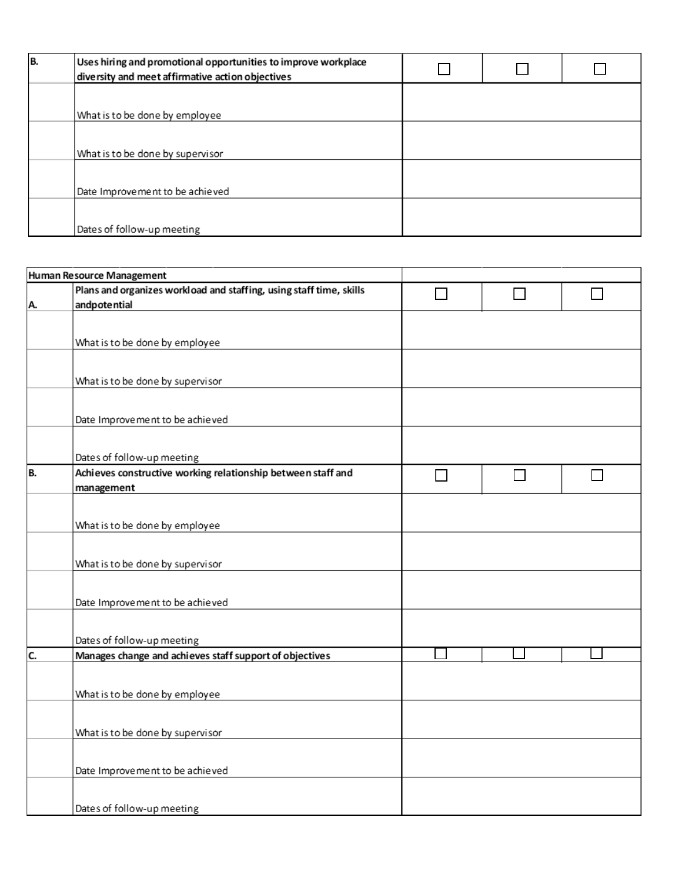| B. | Uses hiring and promotional opportunities to improve workplace<br>diversity and meet affirmative action objectives |  |  |
|----|--------------------------------------------------------------------------------------------------------------------|--|--|
|    |                                                                                                                    |  |  |
|    | What is to be done by employee                                                                                     |  |  |
|    | What is to be done by supervisor                                                                                   |  |  |
|    |                                                                                                                    |  |  |
|    | Date Improvement to be achieved                                                                                    |  |  |
|    | Dates of follow-up meeting                                                                                         |  |  |

|    | Human Resource Management                                           |               |  |
|----|---------------------------------------------------------------------|---------------|--|
|    | Plans and organizes workload and staffing, using staff time, skills |               |  |
| Α. | andpotential                                                        |               |  |
|    |                                                                     |               |  |
|    |                                                                     |               |  |
|    | What is to be done by employee                                      |               |  |
|    |                                                                     |               |  |
|    | What is to be done by supervisor                                    |               |  |
|    |                                                                     |               |  |
|    |                                                                     |               |  |
|    | Date Improvement to be achieved                                     |               |  |
|    |                                                                     |               |  |
|    | Dates of follow-up meeting                                          |               |  |
| B. | Achieves constructive working relationship between staff and        | $\mathcal{L}$ |  |
|    | management                                                          |               |  |
|    |                                                                     |               |  |
|    |                                                                     |               |  |
|    | What is to be done by employee                                      |               |  |
|    |                                                                     |               |  |
|    | What is to be done by supervisor                                    |               |  |
|    |                                                                     |               |  |
|    |                                                                     |               |  |
|    | Date Improvement to be achieved                                     |               |  |
|    |                                                                     |               |  |
|    | Dates of follow-up meeting                                          |               |  |
| C. | Manages change and achieves staff support of objectives             |               |  |
|    |                                                                     |               |  |
|    |                                                                     |               |  |
|    | What is to be done by employee                                      |               |  |
|    |                                                                     |               |  |
|    | What is to be done by supervisor                                    |               |  |
|    |                                                                     |               |  |
|    |                                                                     |               |  |
|    | Date Improvement to be achieved                                     |               |  |
|    |                                                                     |               |  |
|    | Dates of follow-up meeting                                          |               |  |
|    |                                                                     |               |  |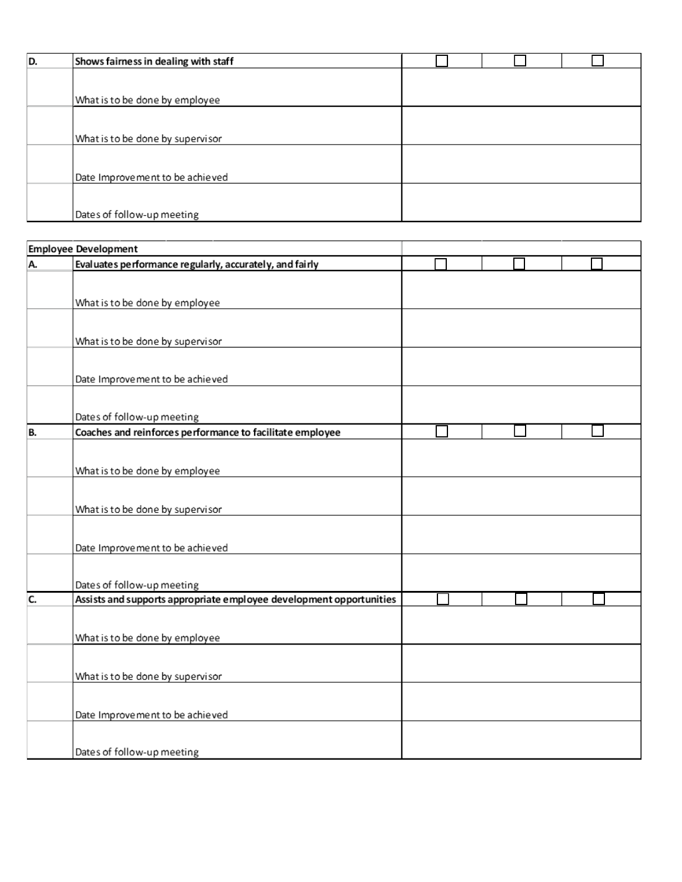| ID. | Shows fairness in dealing with staff |  |  |
|-----|--------------------------------------|--|--|
|     |                                      |  |  |
|     | What is to be done by employee       |  |  |
|     |                                      |  |  |
|     | What is to be done by supervisor     |  |  |
|     |                                      |  |  |
|     | Date Improvement to be achieved      |  |  |
|     |                                      |  |  |
|     | Dates of follow-up meeting           |  |  |

|    | <b>Employee Development</b>                                         |  |  |
|----|---------------------------------------------------------------------|--|--|
| A. | Evaluates performance regularly, accurately, and fairly             |  |  |
|    |                                                                     |  |  |
|    |                                                                     |  |  |
|    | What is to be done by employee                                      |  |  |
|    |                                                                     |  |  |
|    | What is to be done by supervisor                                    |  |  |
|    |                                                                     |  |  |
|    | Date Improvement to be achieved                                     |  |  |
|    |                                                                     |  |  |
|    |                                                                     |  |  |
|    | Dates of follow-up meeting                                          |  |  |
| B. | Coaches and reinforces performance to facilitate employee           |  |  |
|    |                                                                     |  |  |
|    |                                                                     |  |  |
|    | What is to be done by employee                                      |  |  |
|    |                                                                     |  |  |
|    | What is to be done by supervisor                                    |  |  |
|    |                                                                     |  |  |
|    |                                                                     |  |  |
|    | Date Improvement to be achieved                                     |  |  |
|    |                                                                     |  |  |
|    | Dates of follow-up meeting                                          |  |  |
| C. | Assists and supports appropriate employee development opportunities |  |  |
|    |                                                                     |  |  |
|    | What is to be done by employee                                      |  |  |
|    |                                                                     |  |  |
|    |                                                                     |  |  |
|    | What is to be done by supervisor                                    |  |  |
|    |                                                                     |  |  |
|    | Date Improvement to be achieved                                     |  |  |
|    |                                                                     |  |  |
|    |                                                                     |  |  |
|    | Dates of follow-up meeting                                          |  |  |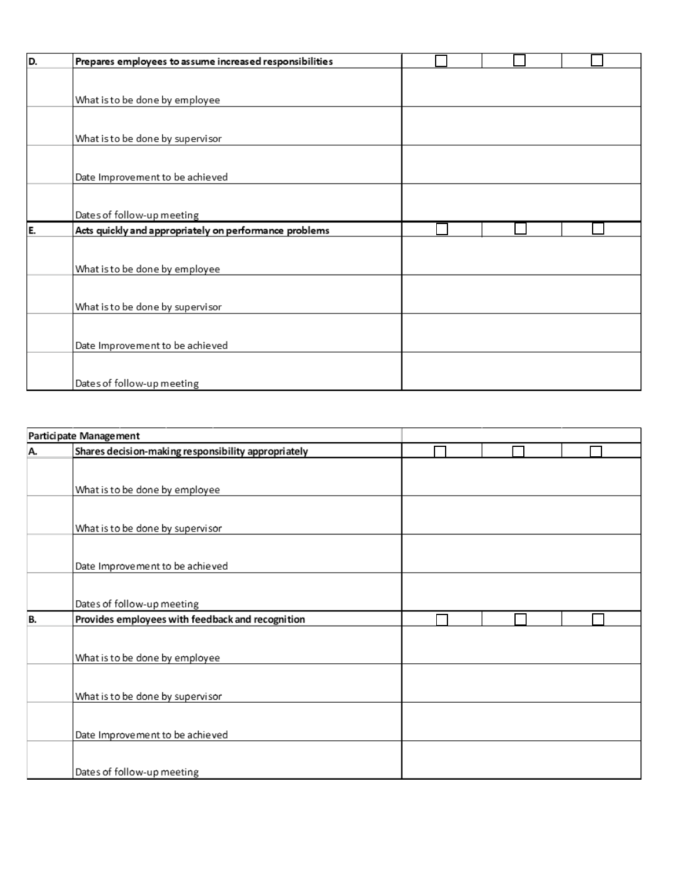| D. | Prepares employees to assume increased responsibilities |  |  |  |
|----|---------------------------------------------------------|--|--|--|
|    |                                                         |  |  |  |
|    |                                                         |  |  |  |
|    | What is to be done by employee                          |  |  |  |
|    |                                                         |  |  |  |
|    | What is to be done by supervisor                        |  |  |  |
|    |                                                         |  |  |  |
|    |                                                         |  |  |  |
|    | Date Improvement to be achieved                         |  |  |  |
|    |                                                         |  |  |  |
|    | Dates of follow-up meeting                              |  |  |  |
|    |                                                         |  |  |  |
| E. | Acts quickly and appropriately on performance problems  |  |  |  |
|    |                                                         |  |  |  |
|    |                                                         |  |  |  |
|    | What is to be done by employee                          |  |  |  |
|    |                                                         |  |  |  |
|    | What is to be done by supervisor                        |  |  |  |
|    |                                                         |  |  |  |
|    |                                                         |  |  |  |
|    | Date Improvement to be achieved                         |  |  |  |
|    |                                                         |  |  |  |

|    | Participate Management                              |  |  |
|----|-----------------------------------------------------|--|--|
| A. | Shares decision-making responsibility appropriately |  |  |
|    |                                                     |  |  |
|    | What is to be done by employee                      |  |  |
|    |                                                     |  |  |
|    | What is to be done by supervisor                    |  |  |
|    |                                                     |  |  |
|    | Date Improvement to be achieved                     |  |  |
|    |                                                     |  |  |
|    | Dates of follow-up meeting                          |  |  |
| B. | Provides employees with feedback and recognition    |  |  |
|    |                                                     |  |  |
|    | What is to be done by employee                      |  |  |
|    |                                                     |  |  |
|    | What is to be done by supervisor                    |  |  |
|    |                                                     |  |  |
|    | Date Improvement to be achieved                     |  |  |
|    |                                                     |  |  |
|    | Dates of follow-up meeting                          |  |  |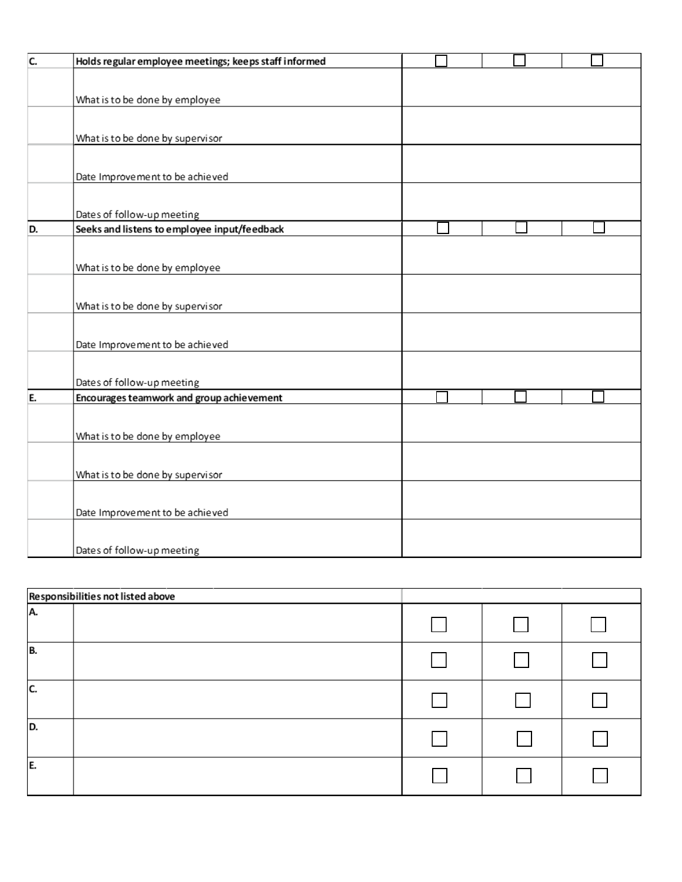| C. | Holds regular employee meetings; keeps staff informed |  |  |
|----|-------------------------------------------------------|--|--|
|    |                                                       |  |  |
|    | What is to be done by employee                        |  |  |
|    |                                                       |  |  |
|    | What is to be done by supervisor                      |  |  |
|    |                                                       |  |  |
|    | Date Improvement to be achieved                       |  |  |
|    |                                                       |  |  |
|    | Dates of follow-up meeting                            |  |  |
| D. | Seeks and listens to employee input/feedback          |  |  |
|    |                                                       |  |  |
|    | What is to be done by employee                        |  |  |
|    |                                                       |  |  |
|    | What is to be done by supervisor                      |  |  |
|    |                                                       |  |  |
|    | Date Improvement to be achieved                       |  |  |
|    |                                                       |  |  |
|    | Dates of follow-up meeting                            |  |  |
| E. | Encourages teamwork and group achievement             |  |  |
|    |                                                       |  |  |
|    | What is to be done by employee                        |  |  |
|    |                                                       |  |  |
|    | What is to be done by supervisor                      |  |  |
|    |                                                       |  |  |
|    | Date Improvement to be achieved                       |  |  |
|    |                                                       |  |  |
|    | Dates of follow-up meeting                            |  |  |
|    |                                                       |  |  |

| Responsibilities not listed above |  |  |
|-----------------------------------|--|--|
| A.                                |  |  |
| B.                                |  |  |
| C.                                |  |  |
| D.                                |  |  |
| E.                                |  |  |